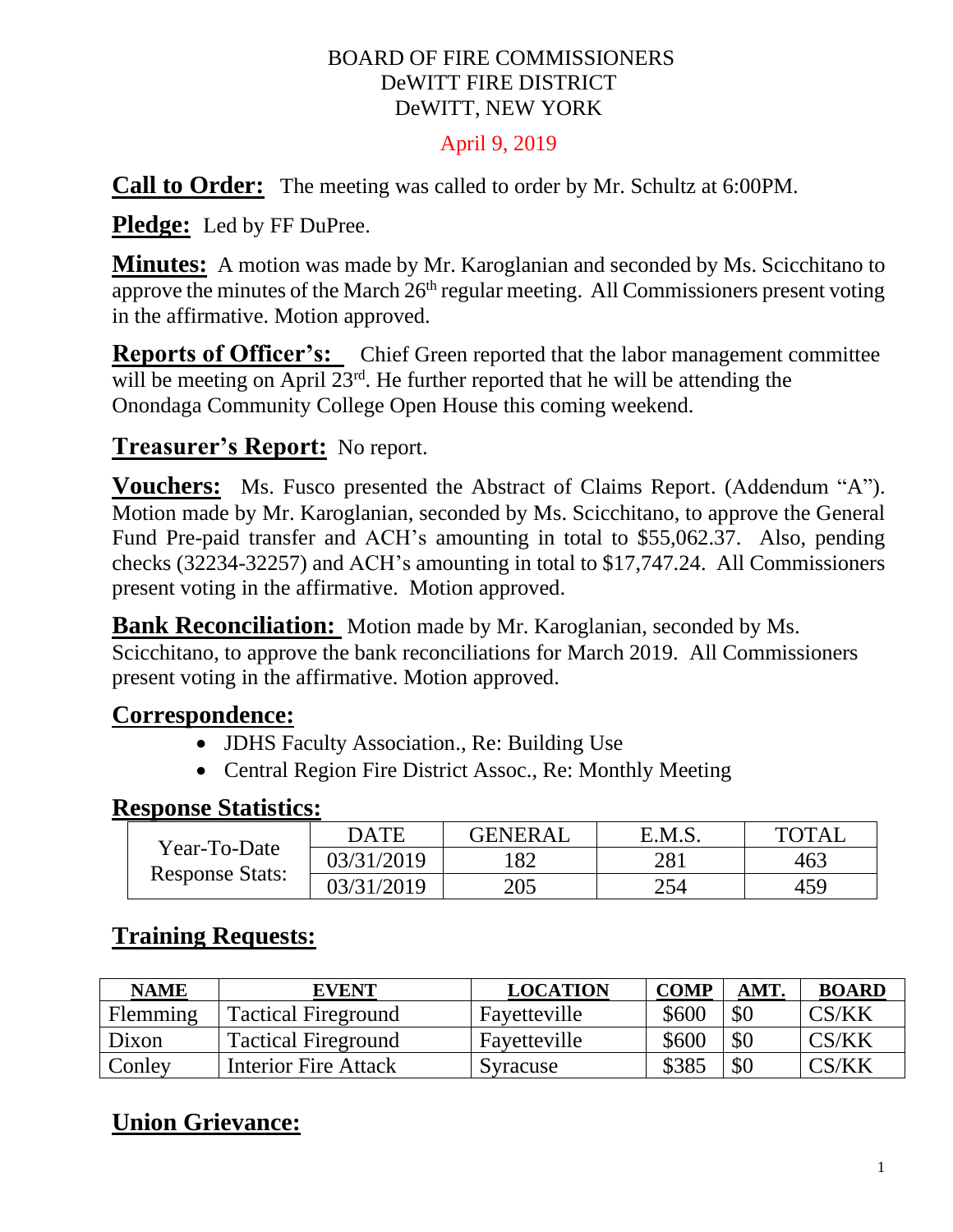#### BOARD OF FIRE COMMISSIONERS DeWITT FIRE DISTRICT DeWITT, NEW YORK

#### April 9, 2019

**Call to Order:** The meeting was called to order by Mr. Schultz at 6:00PM.

**Pledge:** Led by FF DuPree.

**Minutes:** A motion was made by Mr. Karoglanian and seconded by Ms. Scicchitano to approve the minutes of the March  $26<sup>th</sup>$  regular meeting. All Commissioners present voting in the affirmative. Motion approved.

**Reports of Officer's:** Chief Green reported that the labor management committee will be meeting on April  $23<sup>rd</sup>$ . He further reported that he will be attending the Onondaga Community College Open House this coming weekend.

#### **Treasurer's Report:** No report.

**Vouchers:** Ms. Fusco presented the Abstract of Claims Report. (Addendum "A"). Motion made by Mr. Karoglanian, seconded by Ms. Scicchitano, to approve the General Fund Pre-paid transfer and ACH's amounting in total to \$55,062.37. Also, pending checks (32234-32257) and ACH's amounting in total to \$17,747.24. All Commissioners present voting in the affirmative. Motion approved.

**Bank Reconciliation:** Motion made by Mr. Karoglanian, seconded by Ms. Scicchitano, to approve the bank reconciliations for March 2019. All Commissioners

present voting in the affirmative. Motion approved.

#### **Correspondence:**

- JDHS Faculty Association., Re: Building Use
- Central Region Fire District Assoc., Re: Monthly Meeting

#### **Response Statistics:**

| Year-To-Date<br><b>Response Stats:</b> | DATE       | <b>GENERAL</b> | E.M.S. | TOTAL |
|----------------------------------------|------------|----------------|--------|-------|
|                                        | 03/31/2019 |                | 281    | 463   |
|                                        | 03/31/2019 | 205            | 254    | 459   |

## **Training Requests:**

| <b>NAME</b> | <b>EVENT</b>               | <b>LOCATION</b> | <b>COMP</b> | AMT | <b>BOARD</b> |
|-------------|----------------------------|-----------------|-------------|-----|--------------|
| Flemming    | <b>Tactical Fireground</b> | Fayetteville    | \$600       | \$0 | CS/KK        |
| Dixon       | <b>Tactical Fireground</b> | Fayetteville    | \$600       | \$0 | CS/KK        |
| Conley      | Interior Fire Attack       | Syracuse        | \$385       | \$0 | CS/KK        |

# **Union Grievance:**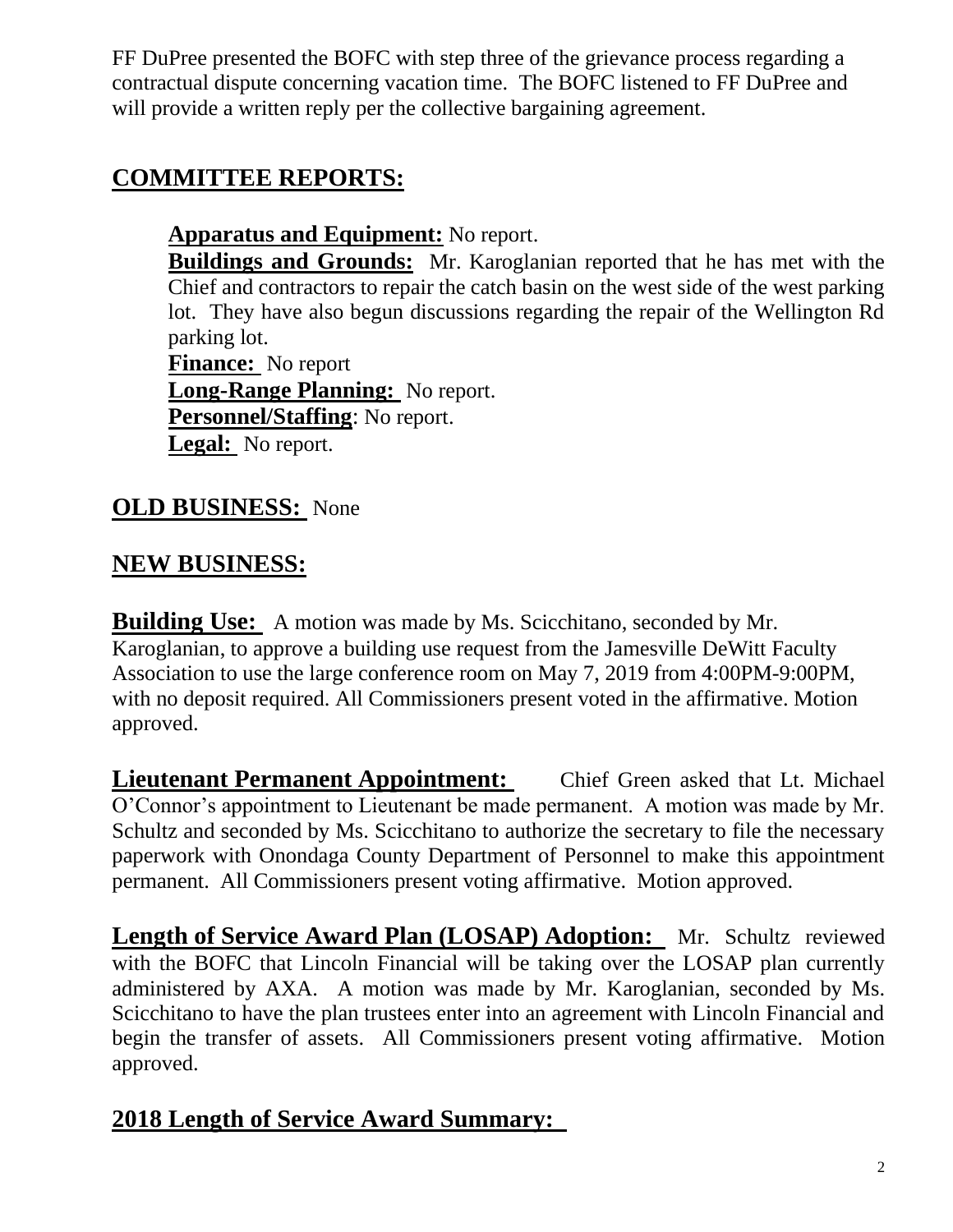FF DuPree presented the BOFC with step three of the grievance process regarding a contractual dispute concerning vacation time. The BOFC listened to FF DuPree and will provide a written reply per the collective bargaining agreement.

## **COMMITTEE REPORTS:**

**Apparatus and Equipment:** No report.

**Buildings and Grounds:** Mr. Karoglanian reported that he has met with the Chief and contractors to repair the catch basin on the west side of the west parking lot. They have also begun discussions regarding the repair of the Wellington Rd parking lot.

**Finance:** No report **Long-Range Planning:** No report. **Personnel/Staffing**: No report. **Legal:** No report.

## **OLD BUSINESS:** None

### **NEW BUSINESS:**

**Building Use:** A motion was made by Ms. Scicchitano, seconded by Mr. Karoglanian, to approve a building use request from the Jamesville DeWitt Faculty Association to use the large conference room on May 7, 2019 from 4:00PM-9:00PM, with no deposit required. All Commissioners present voted in the affirmative. Motion approved.

**Lieutenant Permanent Appointment:** Chief Green asked that Lt. Michael O'Connor's appointment to Lieutenant be made permanent. A motion was made by Mr. Schultz and seconded by Ms. Scicchitano to authorize the secretary to file the necessary paperwork with Onondaga County Department of Personnel to make this appointment permanent. All Commissioners present voting affirmative. Motion approved.

**Length of Service Award Plan (LOSAP) Adoption:** Mr. Schultz reviewed with the BOFC that Lincoln Financial will be taking over the LOSAP plan currently administered by AXA. A motion was made by Mr. Karoglanian, seconded by Ms. Scicchitano to have the plan trustees enter into an agreement with Lincoln Financial and begin the transfer of assets. All Commissioners present voting affirmative. Motion approved.

## **2018 Length of Service Award Summary:**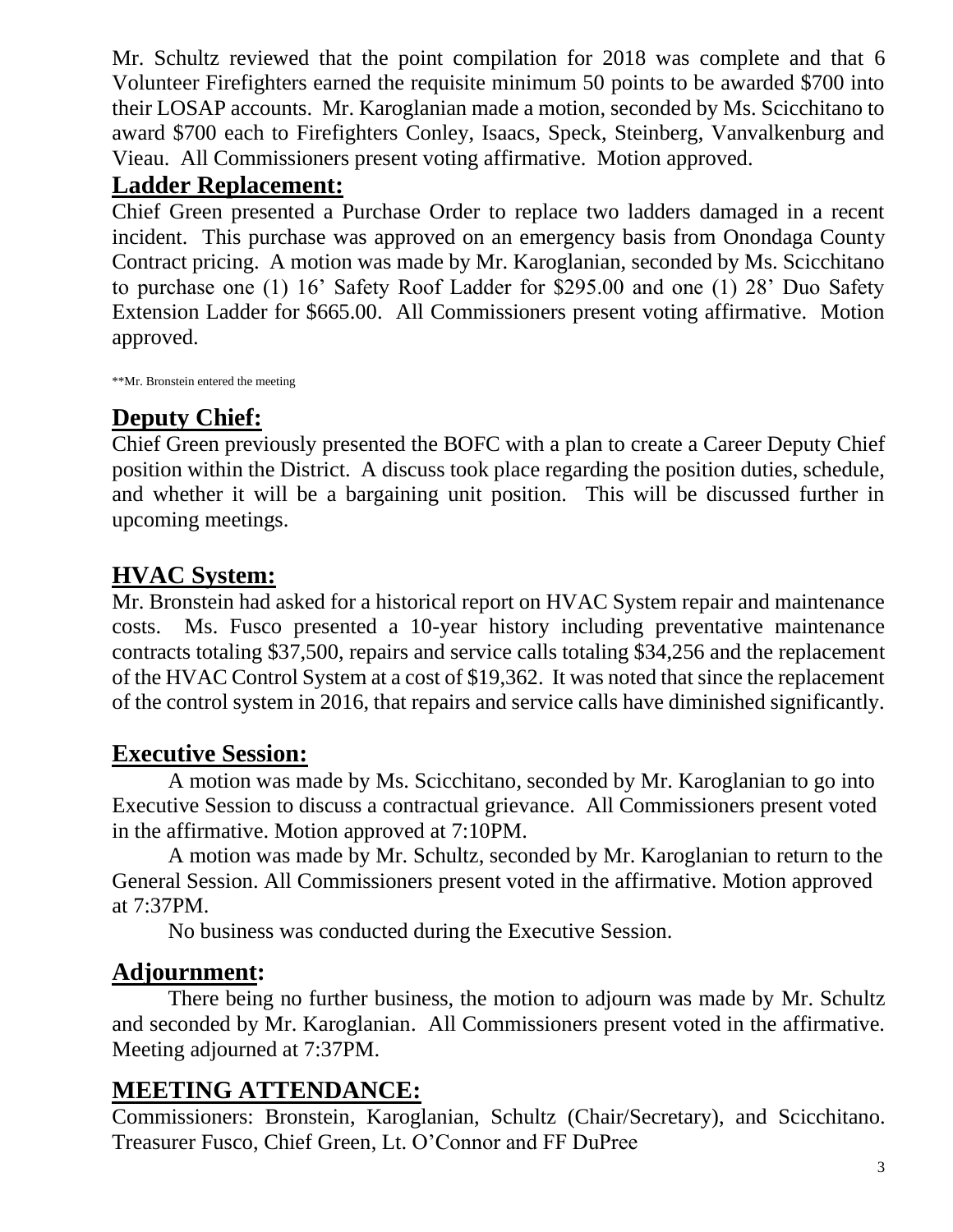Mr. Schultz reviewed that the point compilation for 2018 was complete and that 6 Volunteer Firefighters earned the requisite minimum 50 points to be awarded \$700 into their LOSAP accounts. Mr. Karoglanian made a motion, seconded by Ms. Scicchitano to award \$700 each to Firefighters Conley, Isaacs, Speck, Steinberg, Vanvalkenburg and Vieau. All Commissioners present voting affirmative. Motion approved.

#### **Ladder Replacement:**

Chief Green presented a Purchase Order to replace two ladders damaged in a recent incident. This purchase was approved on an emergency basis from Onondaga County Contract pricing. A motion was made by Mr. Karoglanian, seconded by Ms. Scicchitano to purchase one (1) 16' Safety Roof Ladder for \$295.00 and one (1) 28' Duo Safety Extension Ladder for \$665.00. All Commissioners present voting affirmative. Motion approved.

\*\*Mr. Bronstein entered the meeting

# **Deputy Chief:**

Chief Green previously presented the BOFC with a plan to create a Career Deputy Chief position within the District. A discuss took place regarding the position duties, schedule, and whether it will be a bargaining unit position. This will be discussed further in upcoming meetings.

### **HVAC System:**

Mr. Bronstein had asked for a historical report on HVAC System repair and maintenance costs. Ms. Fusco presented a 10-year history including preventative maintenance contracts totaling \$37,500, repairs and service calls totaling \$34,256 and the replacement of the HVAC Control System at a cost of \$19,362. It was noted that since the replacement of the control system in 2016, that repairs and service calls have diminished significantly.

#### **Executive Session:**

A motion was made by Ms. Scicchitano, seconded by Mr. Karoglanian to go into Executive Session to discuss a contractual grievance. All Commissioners present voted in the affirmative. Motion approved at 7:10PM.

A motion was made by Mr. Schultz, seconded by Mr. Karoglanian to return to the General Session. All Commissioners present voted in the affirmative. Motion approved at 7:37PM.

No business was conducted during the Executive Session.

## **Adjournment:**

There being no further business, the motion to adjourn was made by Mr. Schultz and seconded by Mr. Karoglanian. All Commissioners present voted in the affirmative. Meeting adjourned at 7:37PM.

#### **MEETING ATTENDANCE:**

Commissioners: Bronstein, Karoglanian, Schultz (Chair/Secretary), and Scicchitano. Treasurer Fusco, Chief Green, Lt. O'Connor and FF DuPree